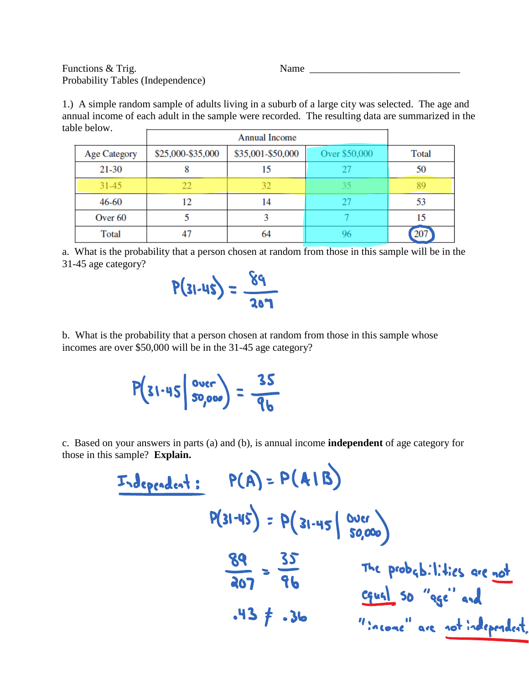Functions & Trig. Name \_\_\_\_\_\_\_\_\_\_\_\_\_\_\_\_\_\_\_\_\_\_\_\_\_\_\_\_\_ Probability Tables (Independence)

1.) A simple random sample of adults living in a suburb of a large city was selected. The age and annual income of each adult in the sample were recorded. The resulting data are summarized in the table below.  $\overline{\phantom{0}}$ 

| <b>Age Category</b> | \$25,000-\$35,000 | \$35,001-\$50,000 | Over \$50,000 | Total |
|---------------------|-------------------|-------------------|---------------|-------|
| $21 - 30$           | 8                 | 15                |               | 50    |
| $31 - 45$           | 22                | 32                |               | 89    |
| 46-60               | 12                | 14                |               | 53    |
| Over 60             |                   |                   |               | 15    |
| Total               | 47                | 64                |               | 207   |

a. What is the probability that a person chosen at random from those in this sample will be in the 31-45 age category?



b. What is the probability that a person chosen at random from those in this sample whose incomes are over \$50,000 will be in the 31-45 age category?

$$
P(31.45 \mid \frac{over}{50,000}) = \frac{35}{96}
$$

c. Based on your answers in parts (a) and (b), is annual income **independent** of age category for those in this sample? **Explain.**

| Independent:                       | $P(A) = P(A   B)$ |
|------------------------------------|-------------------|
| $P(31-45) = P(31-45   80,000)$     |                   |
| $\frac{89}{207} = \frac{35}{96}$   |                   |
| $\frac{716}{207} = \frac{155}{96}$ |                   |
| $\frac{135}{407} = \frac{155}{96}$ |                   |
| $\frac{135}{100}$                  |                   |
| $\frac{135}{1000}$                 |                   |
| $\frac{135}{10000}$                |                   |
| $\frac{135}{10000}$                |                   |
| $\frac{135}{10000}$                |                   |
| $\frac{135}{10000}$                |                   |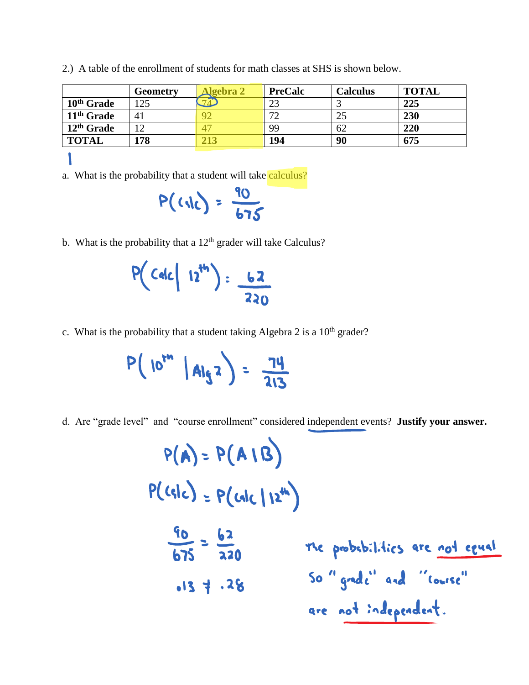|                        | <b>Geometry</b> | <b>Algebra 2</b> | <b>PreCalc</b> | <b>Calculus</b> | <b>TOTAL</b> |
|------------------------|-----------------|------------------|----------------|-----------------|--------------|
| 10 <sup>th</sup> Grade | 125             | 71               | 23             |                 | 225          |
| 11 <sup>th</sup> Grade | 41              | 92               | 72             | 25              | 230          |
| 12 <sup>th</sup> Grade | 12              | 47               | 99             | 62              | 220          |
| <b>TOTAL</b>           | 178             | 213              | 194            | 90              | 675          |
|                        |                 |                  |                |                 |              |

2.) A table of the enrollment of students for math classes at SHS is shown below.

a. What is the probability that a student will take calculus?

$$
P(G1) = \frac{90}{675}
$$

b. What is the probability that a  $12<sup>th</sup>$  grader will take Calculus?

$$
P(Calc | 12^{th}) = \frac{62}{220}
$$

c. What is the probability that a student taking Algebra 2 is a  $10<sup>th</sup>$  grader?

$$
P(10^{rn} |A|q^{2}) = \frac{74}{213}
$$

d. Are "grade level" and "course enrollment" considered independent events? **Justify your answer.**

$$
P(A) = P(A | B)
$$
  
\n
$$
P(c|c) = P(c|c| | 2^{th})
$$
  
\n
$$
\frac{60}{675} = \frac{62}{220}
$$
  
\n
$$
675 = 22
$$
  
\n
$$
675 = 22
$$
  
\n
$$
675 = 22
$$
  
\n
$$
675 = 22
$$
  
\n
$$
675 = 22
$$
  
\n
$$
675 = 22
$$
  
\n
$$
675 = 22
$$
  
\n
$$
675 = 22
$$
  
\n
$$
675 = 22
$$
  
\n
$$
675 = 22
$$
  
\n
$$
675 = 22
$$
  
\n
$$
675 = 22
$$
  
\n
$$
675 = 22
$$
  
\n
$$
675 = 22
$$
  
\n
$$
675 = 22
$$
  
\n
$$
675 = 22
$$
  
\n
$$
675 = 22
$$
  
\n
$$
675 = 22
$$
  
\n
$$
675 = 22
$$
  
\n
$$
675 = 22
$$
  
\n
$$
675 = 22
$$
  
\n
$$
675 = 22
$$
  
\n
$$
675 = 22
$$
  
\n
$$
675 = 22
$$
  
\n
$$
675 = 22
$$
  
\n
$$
675 = 22
$$
  
\n
$$
675 = 22
$$
  
\n
$$
675 = 22
$$
  
\n
$$
675 = 22
$$
  
\n
$$
675 = 22
$$
  
\n
$$
675 = 22
$$
  
\n
$$
675 = 22
$$
  
\n
$$
675 = 22
$$
  
\n
$$
675 = 22
$$
  
\n
$$
675 = 22
$$
  
\n
$$
675 = 22
$$
  
\n<